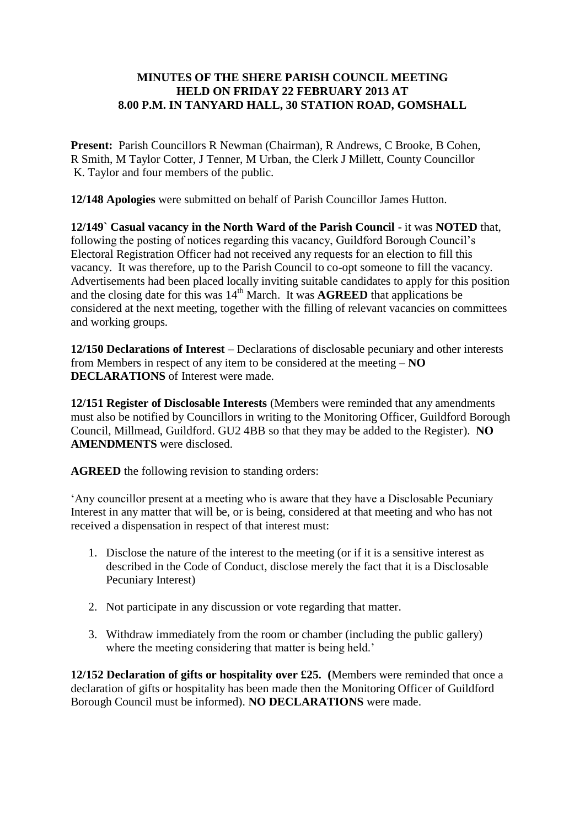## **MINUTES OF THE SHERE PARISH COUNCIL MEETING HELD ON FRIDAY 22 FEBRUARY 2013 AT 8.00 P.M. IN TANYARD HALL, 30 STATION ROAD, GOMSHALL**

**Present:** Parish Councillors R Newman (Chairman), R Andrews, C Brooke, B Cohen, R Smith, M Taylor Cotter, J Tenner, M Urban, the Clerk J Millett, County Councillor K. Taylor and four members of the public.

**12/148 Apologies** were submitted on behalf of Parish Councillor James Hutton.

**12/149` Casual vacancy in the North Ward of the Parish Council** - it was **NOTED** that, following the posting of notices regarding this vacancy, Guildford Borough Council's Electoral Registration Officer had not received any requests for an election to fill this vacancy. It was therefore, up to the Parish Council to co-opt someone to fill the vacancy. Advertisements had been placed locally inviting suitable candidates to apply for this position and the closing date for this was  $14<sup>th</sup>$  March. It was **AGREED** that applications be considered at the next meeting, together with the filling of relevant vacancies on committees and working groups.

**12/150 Declarations of Interest** – Declarations of disclosable pecuniary and other interests from Members in respect of any item to be considered at the meeting – **NO DECLARATIONS** of Interest were made.

**12/151 Register of Disclosable Interests** (Members were reminded that any amendments must also be notified by Councillors in writing to the Monitoring Officer, Guildford Borough Council, Millmead, Guildford. GU2 4BB so that they may be added to the Register). **NO AMENDMENTS** were disclosed.

**AGREED** the following revision to standing orders:

'Any councillor present at a meeting who is aware that they have a Disclosable Pecuniary Interest in any matter that will be, or is being, considered at that meeting and who has not received a dispensation in respect of that interest must:

- 1. Disclose the nature of the interest to the meeting (or if it is a sensitive interest as described in the Code of Conduct, disclose merely the fact that it is a Disclosable Pecuniary Interest)
- 2. Not participate in any discussion or vote regarding that matter.
- 3. Withdraw immediately from the room or chamber (including the public gallery) where the meeting considering that matter is being held.'

**12/152 Declaration of gifts or hospitality over £25. (**Members were reminded that once a declaration of gifts or hospitality has been made then the Monitoring Officer of Guildford Borough Council must be informed). **NO DECLARATIONS** were made.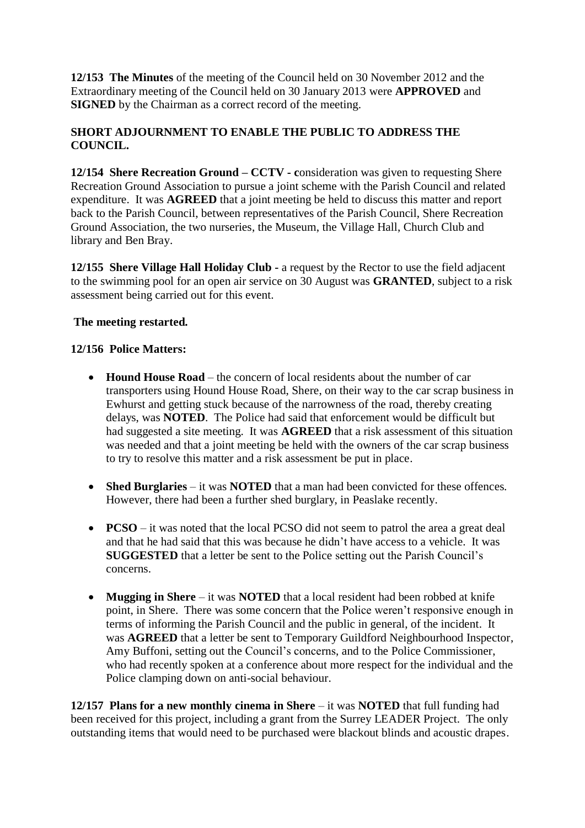**12/153 The Minutes** of the meeting of the Council held on 30 November 2012 and the Extraordinary meeting of the Council held on 30 January 2013 were **APPROVED** and **SIGNED** by the Chairman as a correct record of the meeting.

# **SHORT ADJOURNMENT TO ENABLE THE PUBLIC TO ADDRESS THE COUNCIL.**

**12/154 Shere Recreation Ground – CCTV - c**onsideration was given to requesting Shere Recreation Ground Association to pursue a joint scheme with the Parish Council and related expenditure. It was **AGREED** that a joint meeting be held to discuss this matter and report back to the Parish Council, between representatives of the Parish Council, Shere Recreation Ground Association, the two nurseries, the Museum, the Village Hall, Church Club and library and Ben Bray.

**12/155 Shere Village Hall Holiday Club -** a request by the Rector to use the field adjacent to the swimming pool for an open air service on 30 August was **GRANTED**, subject to a risk assessment being carried out for this event.

## **The meeting restarted.**

#### **12/156 Police Matters:**

- **Hound House Road** the concern of local residents about the number of car transporters using Hound House Road, Shere, on their way to the car scrap business in Ewhurst and getting stuck because of the narrowness of the road, thereby creating delays, was **NOTED**. The Police had said that enforcement would be difficult but had suggested a site meeting. It was **AGREED** that a risk assessment of this situation was needed and that a joint meeting be held with the owners of the car scrap business to try to resolve this matter and a risk assessment be put in place.
- **Shed Burglaries** it was **NOTED** that a man had been convicted for these offences. However, there had been a further shed burglary, in Peaslake recently.
- **• PCSO** it was noted that the local PCSO did not seem to patrol the area a great deal and that he had said that this was because he didn't have access to a vehicle. It was **SUGGESTED** that a letter be sent to the Police setting out the Parish Council's concerns.
- **Mugging in Shere** it was **NOTED** that a local resident had been robbed at knife point, in Shere. There was some concern that the Police weren't responsive enough in terms of informing the Parish Council and the public in general, of the incident. It was **AGREED** that a letter be sent to Temporary Guildford Neighbourhood Inspector, Amy Buffoni, setting out the Council's concerns, and to the Police Commissioner, who had recently spoken at a conference about more respect for the individual and the Police clamping down on anti-social behaviour.

**12/157 Plans for a new monthly cinema in Shere – it was <b>NOTED** that full funding had been received for this project, including a grant from the Surrey LEADER Project. The only outstanding items that would need to be purchased were blackout blinds and acoustic drapes.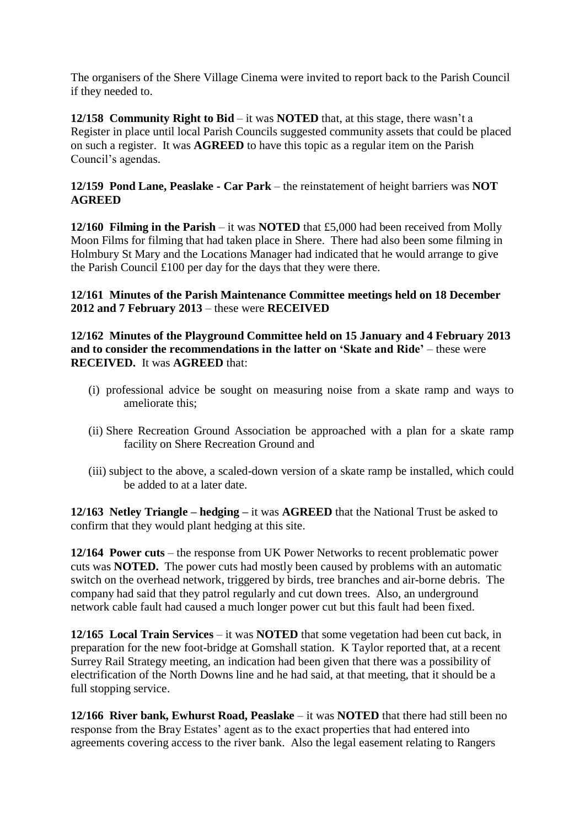The organisers of the Shere Village Cinema were invited to report back to the Parish Council if they needed to.

**12/158 Community Right to Bid** – it was **NOTED** that, at this stage, there wasn't a Register in place until local Parish Councils suggested community assets that could be placed on such a register. It was **AGREED** to have this topic as a regular item on the Parish Council's agendas.

## **12/159 Pond Lane, Peaslake - Car Park** – the reinstatement of height barriers was **NOT AGREED**

**12/160 Filming in the Parish** – it was **NOTED** that £5,000 had been received from Molly Moon Films for filming that had taken place in Shere. There had also been some filming in Holmbury St Mary and the Locations Manager had indicated that he would arrange to give the Parish Council £100 per day for the days that they were there.

**12/161 Minutes of the Parish Maintenance Committee meetings held on 18 December 2012 and 7 February 2013** – these were **RECEIVED**

**12/162 Minutes of the Playground Committee held on 15 January and 4 February 2013 and to consider the recommendations in the latter on 'Skate and Ride'** – these were **RECEIVED.** It was **AGREED** that:

- (i) professional advice be sought on measuring noise from a skate ramp and ways to ameliorate this;
- (ii) Shere Recreation Ground Association be approached with a plan for a skate ramp facility on Shere Recreation Ground and
- (iii) subject to the above, a scaled-down version of a skate ramp be installed, which could be added to at a later date.

**12/163 Netley Triangle – hedging –** it was **AGREED** that the National Trust be asked to confirm that they would plant hedging at this site.

**12/164 Power cuts** – the response from UK Power Networks to recent problematic power cuts was **NOTED.** The power cuts had mostly been caused by problems with an automatic switch on the overhead network, triggered by birds, tree branches and air-borne debris. The company had said that they patrol regularly and cut down trees. Also, an underground network cable fault had caused a much longer power cut but this fault had been fixed.

**12/165 Local Train Services** – it was **NOTED** that some vegetation had been cut back, in preparation for the new foot-bridge at Gomshall station. K Taylor reported that, at a recent Surrey Rail Strategy meeting, an indication had been given that there was a possibility of electrification of the North Downs line and he had said, at that meeting, that it should be a full stopping service.

**12/166 River bank, Ewhurst Road, Peaslake** – it was **NOTED** that there had still been no response from the Bray Estates' agent as to the exact properties that had entered into agreements covering access to the river bank. Also the legal easement relating to Rangers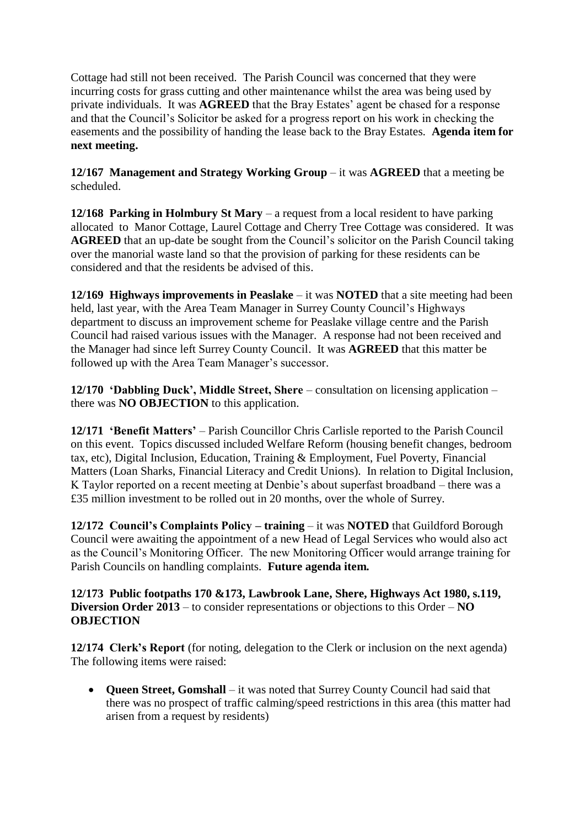Cottage had still not been received. The Parish Council was concerned that they were incurring costs for grass cutting and other maintenance whilst the area was being used by private individuals. It was **AGREED** that the Bray Estates' agent be chased for a response and that the Council's Solicitor be asked for a progress report on his work in checking the easements and the possibility of handing the lease back to the Bray Estates. **Agenda item for next meeting.**

**12/167 Management and Strategy Working Group** – it was **AGREED** that a meeting be scheduled.

**12/168 Parking in Holmbury St Mary** – a request from a local resident to have parking allocated to Manor Cottage, Laurel Cottage and Cherry Tree Cottage was considered. It was **AGREED** that an up-date be sought from the Council's solicitor on the Parish Council taking over the manorial waste land so that the provision of parking for these residents can be considered and that the residents be advised of this.

**12/169 Highways improvements in Peaslake** – it was **NOTED** that a site meeting had been held, last year, with the Area Team Manager in Surrey County Council's Highways department to discuss an improvement scheme for Peaslake village centre and the Parish Council had raised various issues with the Manager. A response had not been received and the Manager had since left Surrey County Council. It was **AGREED** that this matter be followed up with the Area Team Manager's successor.

**12/170 'Dabbling Duck', Middle Street, Shere** – consultation on licensing application – there was **NO OBJECTION** to this application.

**12/171 'Benefit Matters'** – Parish Councillor Chris Carlisle reported to the Parish Council on this event. Topics discussed included Welfare Reform (housing benefit changes, bedroom tax, etc), Digital Inclusion, Education, Training & Employment, Fuel Poverty, Financial Matters (Loan Sharks, Financial Literacy and Credit Unions). In relation to Digital Inclusion, K Taylor reported on a recent meeting at Denbie's about superfast broadband – there was a £35 million investment to be rolled out in 20 months, over the whole of Surrey.

**12/172 Council's Complaints Policy – training** – it was **NOTED** that Guildford Borough Council were awaiting the appointment of a new Head of Legal Services who would also act as the Council's Monitoring Officer. The new Monitoring Officer would arrange training for Parish Councils on handling complaints. **Future agenda item.**

**12/173 Public footpaths 170 &173, Lawbrook Lane, Shere, Highways Act 1980, s.119, Diversion Order 2013** – to consider representations or objections to this Order – **NO OBJECTION**

**12/174 Clerk's Report** (for noting, delegation to the Clerk or inclusion on the next agenda) The following items were raised:

 **Queen Street, Gomshall** – it was noted that Surrey County Council had said that there was no prospect of traffic calming/speed restrictions in this area (this matter had arisen from a request by residents)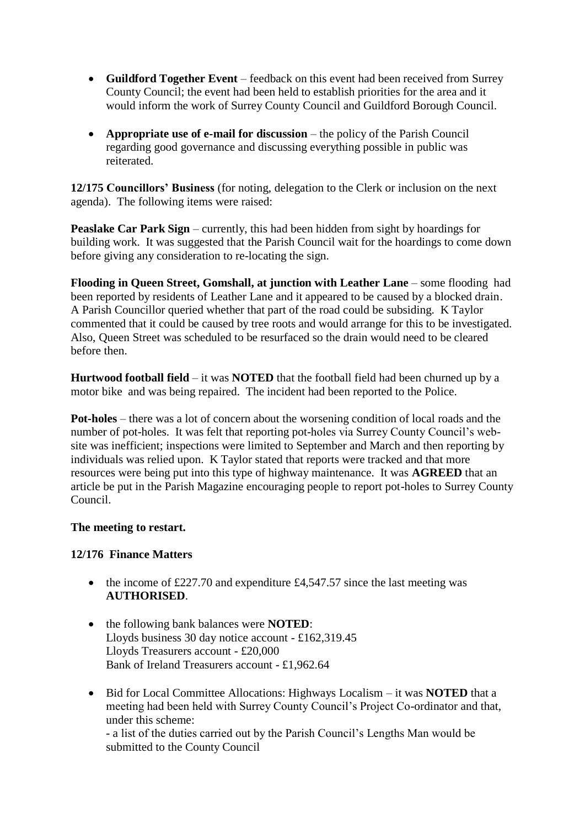- **Guildford Together Event** feedback on this event had been received from Surrey County Council; the event had been held to establish priorities for the area and it would inform the work of Surrey County Council and Guildford Borough Council.
- **Appropriate use of e-mail for discussion** the policy of the Parish Council regarding good governance and discussing everything possible in public was reiterated.

**12/175 Councillors' Business** (for noting, delegation to the Clerk or inclusion on the next agenda). The following items were raised:

**Peaslake Car Park Sign** – currently, this had been hidden from sight by hoardings for building work. It was suggested that the Parish Council wait for the hoardings to come down before giving any consideration to re-locating the sign.

**Flooding in Queen Street, Gomshall, at junction with Leather Lane** – some flooding had been reported by residents of Leather Lane and it appeared to be caused by a blocked drain. A Parish Councillor queried whether that part of the road could be subsiding. K Taylor commented that it could be caused by tree roots and would arrange for this to be investigated. Also, Queen Street was scheduled to be resurfaced so the drain would need to be cleared before then.

**Hurtwood football field** – it was **NOTED** that the football field had been churned up by a motor bike and was being repaired. The incident had been reported to the Police.

**Pot-holes** – there was a lot of concern about the worsening condition of local roads and the number of pot-holes. It was felt that reporting pot-holes via Surrey County Council's website was inefficient; inspections were limited to September and March and then reporting by individuals was relied upon. K Taylor stated that reports were tracked and that more resources were being put into this type of highway maintenance. It was **AGREED** that an article be put in the Parish Magazine encouraging people to report pot-holes to Surrey County Council.

#### **The meeting to restart.**

## **12/176 Finance Matters**

- the income of £227.70 and expenditure  $£4,547.57$  since the last meeting was **AUTHORISED**.
- the following bank balances were **NOTED**: Lloyds business 30 day notice account - £162,319.45 Lloyds Treasurers account - £20,000 Bank of Ireland Treasurers account - £1,962.64
- Bid for Local Committee Allocations: Highways Localism it was **NOTED** that a meeting had been held with Surrey County Council's Project Co-ordinator and that, under this scheme: - a list of the duties carried out by the Parish Council's Lengths Man would be submitted to the County Council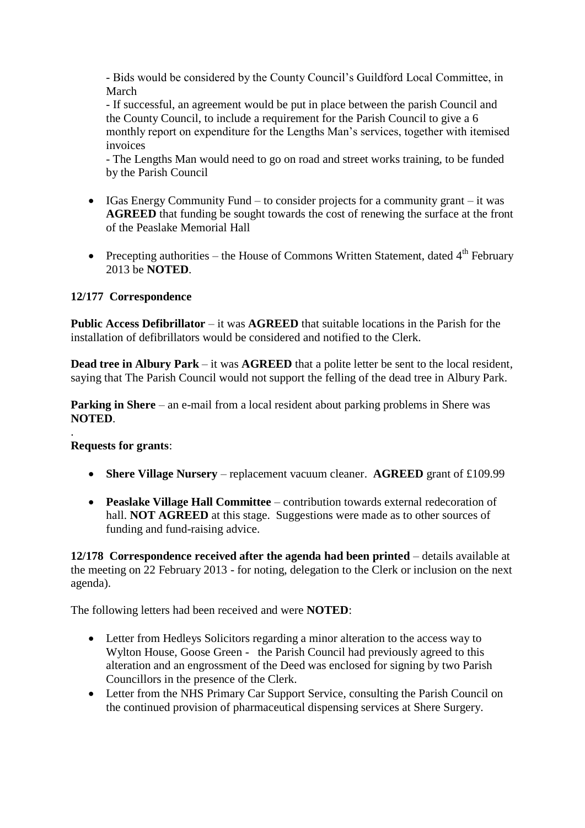- Bids would be considered by the County Council's Guildford Local Committee, in March

- If successful, an agreement would be put in place between the parish Council and the County Council, to include a requirement for the Parish Council to give a 6 monthly report on expenditure for the Lengths Man's services, together with itemised invoices

- The Lengths Man would need to go on road and street works training, to be funded by the Parish Council

- $\bullet$  IGas Energy Community Fund to consider projects for a community grant it was **AGREED** that funding be sought towards the cost of renewing the surface at the front of the Peaslake Memorial Hall
- Precepting authorities the House of Commons Written Statement, dated  $4<sup>th</sup>$  February 2013 be **NOTED**.

# **12/177 Correspondence**

**Public Access Defibrillator** – it was **AGREED** that suitable locations in the Parish for the installation of defibrillators would be considered and notified to the Clerk.

**Dead tree in Albury Park** – it was **AGREED** that a polite letter be sent to the local resident, saying that The Parish Council would not support the felling of the dead tree in Albury Park.

**Parking in Shere** – an e-mail from a local resident about parking problems in Shere was **NOTED**.

## **Requests for grants**:

.

- **Shere Village Nursery** replacement vacuum cleaner. **AGREED** grant of £109.99
- **Peaslake Village Hall Committee** contribution towards external redecoration of hall. **NOT AGREED** at this stage. Suggestions were made as to other sources of funding and fund-raising advice.

**12/178 Correspondence received after the agenda had been printed** – details available at the meeting on 22 February 2013 - for noting, delegation to the Clerk or inclusion on the next agenda).

The following letters had been received and were **NOTED**:

- Letter from Hedleys Solicitors regarding a minor alteration to the access way to Wylton House, Goose Green - the Parish Council had previously agreed to this alteration and an engrossment of the Deed was enclosed for signing by two Parish Councillors in the presence of the Clerk.
- Letter from the NHS Primary Car Support Service, consulting the Parish Council on the continued provision of pharmaceutical dispensing services at Shere Surgery.